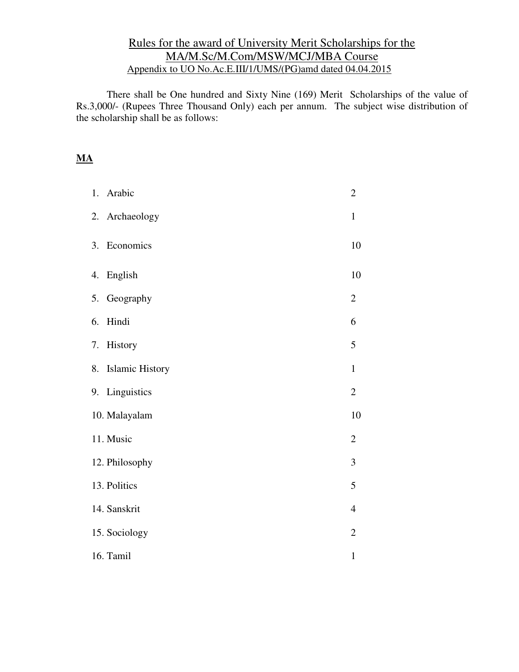## Rules for the award of University Merit Scholarships for the MA/M.Sc/M.Com/MSW/MCJ/MBA Course Appendix to UO No.Ac.E.III/1/UMS/(PG)amd dated 04.04.2015

There shall be One hundred and Sixty Nine (169) Merit Scholarships of the value of Rs.3,000/- (Rupees Three Thousand Only) each per annum. The subject wise distribution of the scholarship shall be as follows:

## **MA**

|    | 1. Arabic          | $\overline{c}$ |
|----|--------------------|----------------|
|    | 2. Archaeology     | $\mathbf{1}$   |
|    | 3. Economics       | 10             |
|    | 4. English         | 10             |
|    | 5. Geography       | $\overline{2}$ |
| 6. | Hindi              | 6              |
|    | 7. History         | 5              |
|    | 8. Islamic History | $\mathbf{1}$   |
|    | 9. Linguistics     | $\overline{2}$ |
|    | 10. Malayalam      | 10             |
|    | 11. Music          | $\overline{c}$ |
|    | 12. Philosophy     | 3              |
|    | 13. Politics       | 5              |
|    | 14. Sanskrit       | $\overline{4}$ |
|    | 15. Sociology      | $\overline{2}$ |
|    | 16. Tamil          | $\mathbf{1}$   |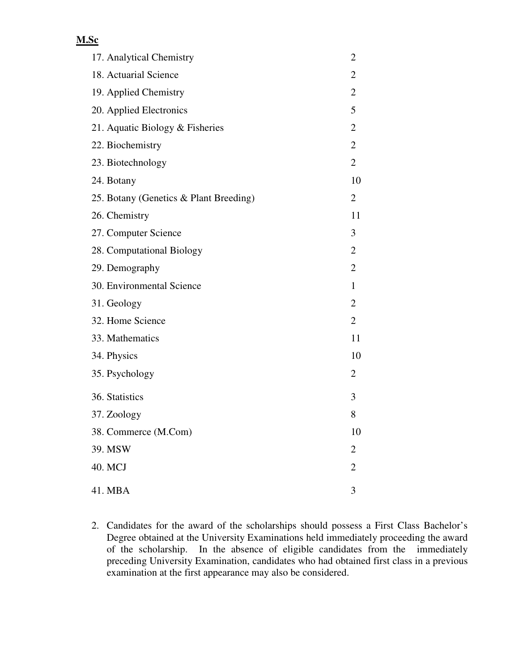## **M.Sc**

| 17. Analytical Chemistry               | $\overline{c}$ |
|----------------------------------------|----------------|
| 18. Actuarial Science                  | 2              |
| 19. Applied Chemistry                  | $\overline{c}$ |
| 20. Applied Electronics                | 5              |
| 21. Aquatic Biology & Fisheries        | $\overline{2}$ |
| 22. Biochemistry                       | $\overline{2}$ |
| 23. Biotechnology                      | $\overline{2}$ |
| 24. Botany                             | 10             |
| 25. Botany (Genetics & Plant Breeding) | 2              |
| 26. Chemistry                          | 11             |
| 27. Computer Science                   | 3              |
| 28. Computational Biology              | $\overline{2}$ |
| 29. Demography                         | $\overline{2}$ |
| 30. Environmental Science              | $\mathbf{1}$   |
| 31. Geology                            | $\overline{2}$ |
| 32. Home Science                       | $\overline{2}$ |
| 33. Mathematics                        | 11             |
| 34. Physics                            | 10             |
| 35. Psychology                         | 2              |
| 36. Statistics                         | 3              |
| 37. Zoology                            | 8              |
| 38. Commerce (M.Com)                   | 10             |
| 39. MSW                                | $\mathbf{2}$   |
| 40. MCJ                                | $\overline{2}$ |
| 41. MBA                                | 3              |

2. Candidates for the award of the scholarships should possess a First Class Bachelor's Degree obtained at the University Examinations held immediately proceeding the award of the scholarship. In the absence of eligible candidates from the immediately preceding University Examination, candidates who had obtained first class in a previous examination at the first appearance may also be considered.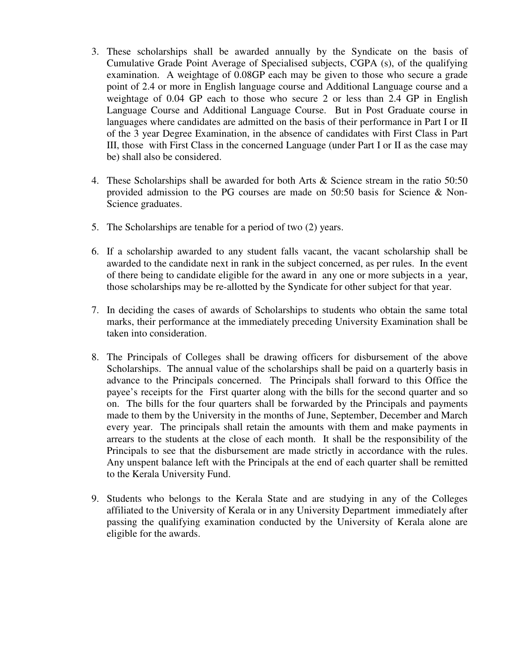- 3. These scholarships shall be awarded annually by the Syndicate on the basis of Cumulative Grade Point Average of Specialised subjects, CGPA (s), of the qualifying examination. A weightage of 0.08GP each may be given to those who secure a grade point of 2.4 or more in English language course and Additional Language course and a weightage of 0.04 GP each to those who secure 2 or less than 2.4 GP in English Language Course and Additional Language Course. But in Post Graduate course in languages where candidates are admitted on the basis of their performance in Part I or II of the 3 year Degree Examination, in the absence of candidates with First Class in Part III, those with First Class in the concerned Language (under Part I or II as the case may be) shall also be considered.
- 4. These Scholarships shall be awarded for both Arts & Science stream in the ratio 50:50 provided admission to the PG courses are made on 50:50 basis for Science & Non-Science graduates.
- 5. The Scholarships are tenable for a period of two (2) years.
- 6. If a scholarship awarded to any student falls vacant, the vacant scholarship shall be awarded to the candidate next in rank in the subject concerned, as per rules. In the event of there being to candidate eligible for the award in any one or more subjects in a year, those scholarships may be re-allotted by the Syndicate for other subject for that year.
- 7. In deciding the cases of awards of Scholarships to students who obtain the same total marks, their performance at the immediately preceding University Examination shall be taken into consideration.
- 8. The Principals of Colleges shall be drawing officers for disbursement of the above Scholarships. The annual value of the scholarships shall be paid on a quarterly basis in advance to the Principals concerned. The Principals shall forward to this Office the payee's receipts for the First quarter along with the bills for the second quarter and so on. The bills for the four quarters shall be forwarded by the Principals and payments made to them by the University in the months of June, September, December and March every year. The principals shall retain the amounts with them and make payments in arrears to the students at the close of each month. It shall be the responsibility of the Principals to see that the disbursement are made strictly in accordance with the rules. Any unspent balance left with the Principals at the end of each quarter shall be remitted to the Kerala University Fund.
- 9. Students who belongs to the Kerala State and are studying in any of the Colleges affiliated to the University of Kerala or in any University Department immediately after passing the qualifying examination conducted by the University of Kerala alone are eligible for the awards.